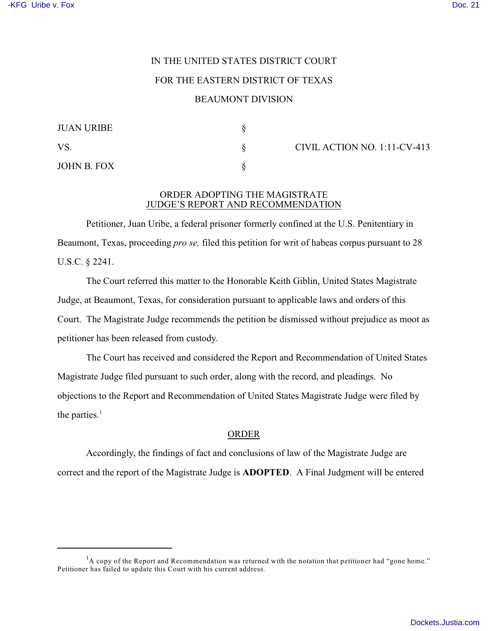## IN THE UNITED STATES DISTRICT COURT FOR THE EASTERN DISTRICT OF TEXAS BEAUMONT DIVISION

| <b>JUAN URIBE</b> |  |
|-------------------|--|
| VS.               |  |
| JOHN B. FOX       |  |

 $\S$  CIVIL ACTION NO. 1:11-CV-413

## ORDER ADOPTING THE MAGISTRATE JUDGE'S REPORT AND RECOMMENDATION

Petitioner, Juan Uribe, a federal prisoner formerly confined at the U.S. Penitentiary in Beaumont, Texas, proceeding *pro se,* filed this petition for writ of habeas corpus pursuant to 28 U.S.C. § 2241.

The Court referred this matter to the Honorable Keith Giblin, United States Magistrate Judge, at Beaumont, Texas, for consideration pursuant to applicable laws and orders of this Court. The Magistrate Judge recommends the petition be dismissed without prejudice as moot as petitioner has been released from custody.

The Court has received and considered the Report and Recommendation of United States Magistrate Judge filed pursuant to such order, along with the record, and pleadings. No objections to the Report and Recommendation of United States Magistrate Judge were filed by the parties. $<sup>1</sup>$ </sup>

## ORDER

Accordingly, the findings of fact and conclusions of law of the Magistrate Judge are correct and the report of the Magistrate Judge is **ADOPTED**. A Final Judgment will be entered

 $<sup>1</sup>A$  copy of the Report and Recommendation was returned with the notation that petitioner had "gone home."</sup> Petitioner has failed to update this Court with his current address.